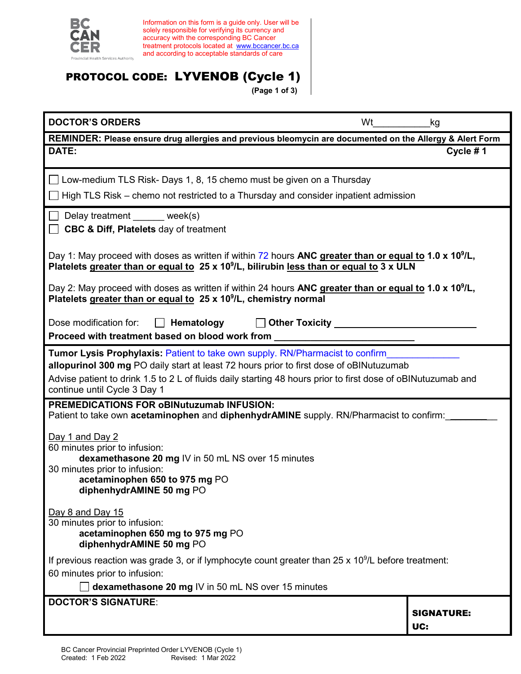

Information on this form is a guide only. User will be solely responsible for verifying its currency and accuracy with the corresponding BC Cancer treatment protocols located at <u>[www.bccancer.bc.ca](http://www.bccancer.bc.ca/)</u> and according to acceptable standards of care

# PROTOCOL CODE: LYVENOB (Cycle 1)

**(Page 1 of 3)**

| <b>DOCTOR'S ORDERS</b><br>Wt                                                                                                                                                                                                                                                                                                    | kg                       |  |
|---------------------------------------------------------------------------------------------------------------------------------------------------------------------------------------------------------------------------------------------------------------------------------------------------------------------------------|--------------------------|--|
| REMINDER: Please ensure drug allergies and previous bleomycin are documented on the Allergy & Alert Form                                                                                                                                                                                                                        |                          |  |
| DATE:                                                                                                                                                                                                                                                                                                                           | Cycle #1                 |  |
| $\Box$ Low-medium TLS Risk- Days 1, 8, 15 chemo must be given on a Thursday                                                                                                                                                                                                                                                     |                          |  |
| High TLS Risk – chemo not restricted to a Thursday and consider inpatient admission                                                                                                                                                                                                                                             |                          |  |
| Delay treatment _____ week(s)<br><b>CBC &amp; Diff, Platelets day of treatment</b>                                                                                                                                                                                                                                              |                          |  |
| Day 1: May proceed with doses as written if within 72 hours ANC greater than or equal to 1.0 x 10 <sup>9</sup> /L,<br>Platelets greater than or equal to 25 x 10 <sup>9</sup> /L, bilirubin less than or equal to 3 x ULN                                                                                                       |                          |  |
| Day 2: May proceed with doses as written if within 24 hours ANC greater than or equal to 1.0 x 10 <sup>9</sup> /L,<br>Platelets greater than or equal to 25 x 10 <sup>9</sup> /L, chemistry normal                                                                                                                              |                          |  |
| Dose modification for:<br>Hematology<br>Proceed with treatment based on blood work from _                                                                                                                                                                                                                                       |                          |  |
| <b>Tumor Lysis Prophylaxis: Patient to take own supply. RN/Pharmacist to confirm</b><br>allopurinol 300 mg PO daily start at least 72 hours prior to first dose of oBINutuzumab<br>Advise patient to drink 1.5 to 2 L of fluids daily starting 48 hours prior to first dose of oBINutuzumab and<br>continue until Cycle 3 Day 1 |                          |  |
| <b>PREMEDICATIONS FOR oBINutuzumab INFUSION:</b><br>Patient to take own <b>acetaminophen</b> and <b>diphenhydrAMINE</b> supply. RN/Pharmacist to confirm:                                                                                                                                                                       |                          |  |
| Day 1 and Day 2<br>60 minutes prior to infusion:<br>dexamethasone 20 mg IV in 50 mL NS over 15 minutes<br>30 minutes prior to infusion:<br>acetaminophen 650 to 975 mg PO<br>diphenhydrAMINE 50 mg PO                                                                                                                           |                          |  |
| Day 8 and Day 15<br>30 minutes prior to infusion:<br>acetaminophen 650 mg to 975 mg PO<br>diphenhydrAMINE 50 mg PO                                                                                                                                                                                                              |                          |  |
| If previous reaction was grade 3, or if lymphocyte count greater than $25 \times 10^9$ /L before treatment:                                                                                                                                                                                                                     |                          |  |
| 60 minutes prior to infusion:<br>dexamethasone 20 mg IV in 50 mL NS over 15 minutes                                                                                                                                                                                                                                             |                          |  |
| <b>DOCTOR'S SIGNATURE:</b>                                                                                                                                                                                                                                                                                                      |                          |  |
|                                                                                                                                                                                                                                                                                                                                 | <b>SIGNATURE:</b><br>UC: |  |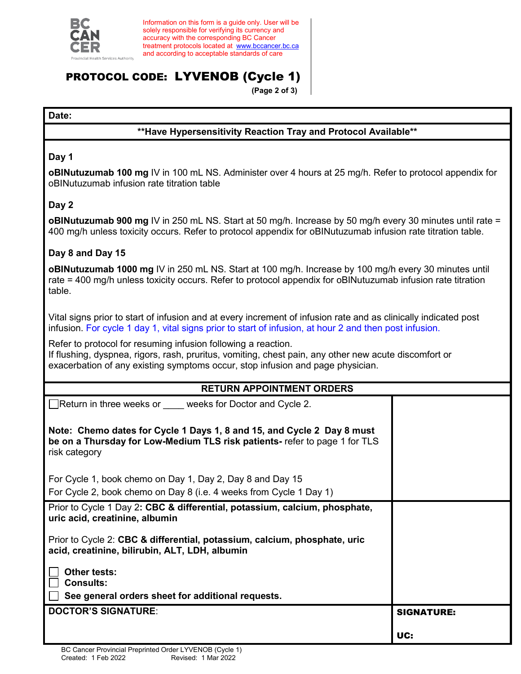

Information on this form is a guide only. User will be solely responsible for verifying its currency and accuracy with the corresponding BC Cancer treatment protocols located at [www.bccancer.bc.ca](http://www.bccancer.bc.ca/) and according to acceptable standards of care

# PROTOCOL CODE: LYVENOB (Cycle 1)

**(Page 2 of 3)**

#### **Date:**

## **\*\*Have Hypersensitivity Reaction Tray and Protocol Available\*\***

#### **Day 1**

**oBINutuzumab 100 mg** IV in 100 mL NS. Administer over 4 hours at 25 mg/h. Refer to protocol appendix for oBINutuzumab infusion rate titration table

## **Day 2**

**oBINutuzumab 900 mg** IV in 250 mL NS. Start at 50 mg/h. Increase by 50 mg/h every 30 minutes until rate = 400 mg/h unless toxicity occurs. Refer to protocol appendix for oBINutuzumab infusion rate titration table.

## **Day 8 and Day 15**

**oBINutuzumab 1000 mg** IV in 250 mL NS. Start at 100 mg/h. Increase by 100 mg/h every 30 minutes until rate = 400 mg/h unless toxicity occurs. Refer to protocol appendix for oBINutuzumab infusion rate titration table.

Vital signs prior to start of infusion and at every increment of infusion rate and as clinically indicated post infusion. For cycle 1 day 1, vital signs prior to start of infusion, at hour 2 and then post infusion.

Refer to protocol for resuming infusion following a reaction.

If flushing, dyspnea, rigors, rash, pruritus, vomiting, chest pain, any other new acute discomfort or exacerbation of any existing symptoms occur, stop infusion and page physician.

| <b>RETURN APPOINTMENT ORDERS</b>                                                                                                                                      |                   |
|-----------------------------------------------------------------------------------------------------------------------------------------------------------------------|-------------------|
| □Return in three weeks or <u>weeks</u> for Doctor and Cycle 2.                                                                                                        |                   |
| Note: Chemo dates for Cycle 1 Days 1, 8 and 15, and Cycle 2 Day 8 must<br>be on a Thursday for Low-Medium TLS risk patients- refer to page 1 for TLS<br>risk category |                   |
| For Cycle 1, book chemo on Day 1, Day 2, Day 8 and Day 15                                                                                                             |                   |
| For Cycle 2, book chemo on Day 8 (i.e. 4 weeks from Cycle 1 Day 1)                                                                                                    |                   |
| Prior to Cycle 1 Day 2: CBC & differential, potassium, calcium, phosphate,<br>uric acid, creatinine, albumin                                                          |                   |
| Prior to Cycle 2: CBC & differential, potassium, calcium, phosphate, uric<br>acid, creatinine, bilirubin, ALT, LDH, albumin                                           |                   |
| Other tests:<br><b>Consults:</b>                                                                                                                                      |                   |
| See general orders sheet for additional requests.                                                                                                                     |                   |
| <b>DOCTOR'S SIGNATURE:</b>                                                                                                                                            | <b>SIGNATURE:</b> |
|                                                                                                                                                                       | UC:               |